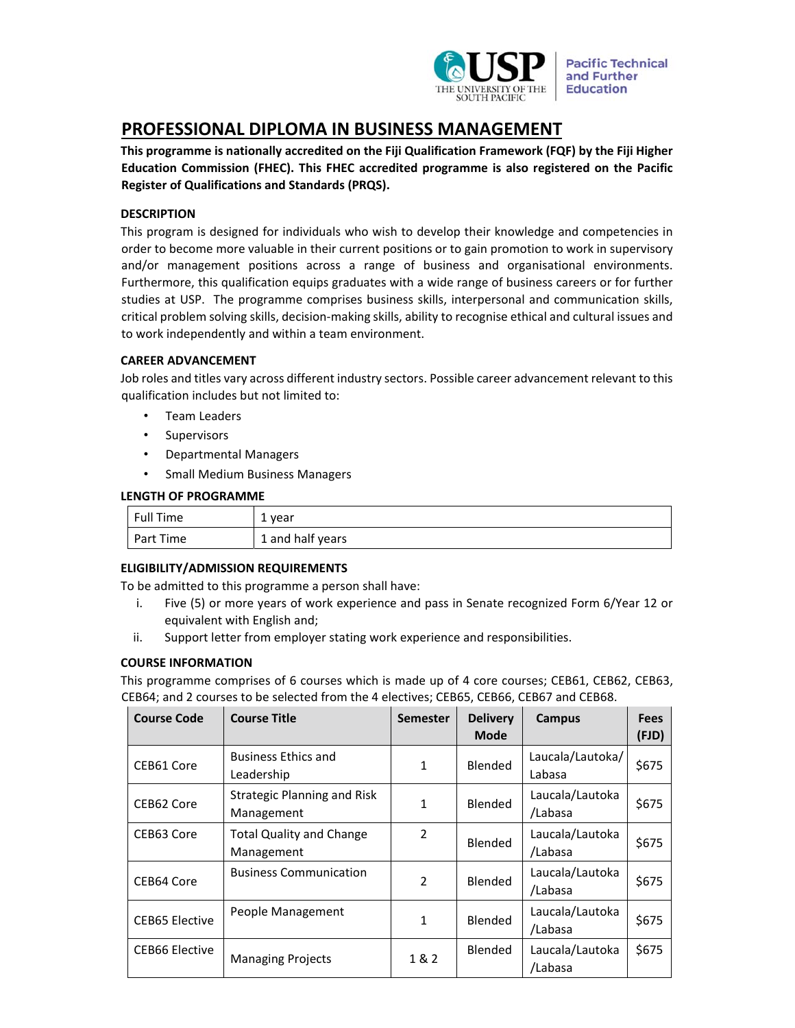

**Pacific Technical** and Further **Education** 

# **PROFESSIONAL DIPLOMA IN BUSINESS MANAGEMENT**

**This programme is nationally accredited on the Fiji Qualification Framework (FQF) by the Fiji Higher Education Commission (FHEC). This FHEC accredited programme is also registered on the Pacific Register of Qualifications and Standards (PRQS).**

# **DESCRIPTION**

This program is designed for individuals who wish to develop their knowledge and competencies in order to become more valuable in their current positions or to gain promotion to work in supervisory and/or management positions across a range of business and organisational environments. Furthermore, this qualification equips graduates with a wide range of business careers or for further studies at USP. The programme comprises business skills, interpersonal and communication skills, critical problem solving skills, decision‐making skills, ability to recognise ethical and cultural issues and to work independently and within a team environment.

# **CAREER ADVANCEMENT**

Job roles and titles vary across different industry sectors. Possible career advancement relevant to this qualification includes but not limited to:

- Team Leaders
- Supervisors
- Departmental Managers
- Small Medium Business Managers

# **LENGTH OF PROGRAMME**

| <sup>1</sup> Full Time | 1 year           |
|------------------------|------------------|
| Part Time              | 1 and half years |

### **ELIGIBILITY/ADMISSION REQUIREMENTS**

To be admitted to this programme a person shall have:

- i. Five (5) or more years of work experience and pass in Senate recognized Form 6/Year 12 or equivalent with English and;
- ii. Support letter from employer stating work experience and responsibilities.

### **COURSE INFORMATION**

This programme comprises of 6 courses which is made up of 4 core courses; CEB61, CEB62, CEB63, CEB64; and 2 courses to be selected from the 4 electives; CEB65, CEB66, CEB67 and CEB68.

| <b>Course Code</b>    | <b>Course Title</b>                           | <b>Semester</b> | <b>Delivery</b><br><b>Mode</b> | Campus                     | <b>Fees</b><br>(FJD) |
|-----------------------|-----------------------------------------------|-----------------|--------------------------------|----------------------------|----------------------|
| CEB61 Core            | <b>Business Ethics and</b><br>Leadership      | 1               | Blended                        | Laucala/Lautoka/<br>Labasa | \$675                |
| CEB62 Core            | Strategic Planning and Risk<br>Management     | 1               | Blended                        | Laucala/Lautoka<br>/Labasa | \$675                |
| CEB63 Core            | <b>Total Quality and Change</b><br>Management | $\overline{2}$  | Blended                        | Laucala/Lautoka<br>/Labasa | \$675                |
| CEB64 Core            | <b>Business Communication</b>                 | $\mathfrak{p}$  | Blended                        | Laucala/Lautoka<br>/Labasa | \$675                |
| <b>CEB65 Elective</b> | People Management                             | 1               | Blended                        | Laucala/Lautoka<br>/Labasa | \$675                |
| CEB66 Elective        | <b>Managing Projects</b>                      | 1 & 2           | Blended                        | Laucala/Lautoka<br>/Labasa | \$675                |